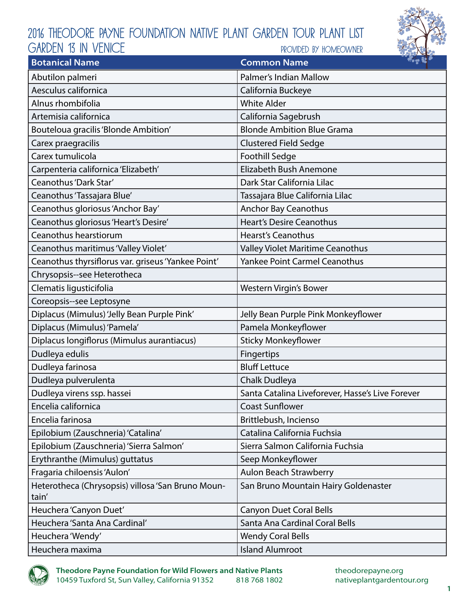## 2016 Theodore Payne Foundation Native Plant Garden Tour Plant List provided by homeowner GARDEN 13 in venice



| <b>Botanical Name</b>                                      | $\mathcal{L}_{\mathbf{r}}$ $\mathcal{L}_{\mathbf{r}}$<br><b>Common Name</b> |
|------------------------------------------------------------|-----------------------------------------------------------------------------|
| Abutilon palmeri                                           | Palmer's Indian Mallow                                                      |
| Aesculus californica                                       | California Buckeye                                                          |
| Alnus rhombifolia                                          | <b>White Alder</b>                                                          |
| Artemisia californica                                      | California Sagebrush                                                        |
| Bouteloua gracilis 'Blonde Ambition'                       | <b>Blonde Ambition Blue Grama</b>                                           |
| Carex praegracilis                                         | <b>Clustered Field Sedge</b>                                                |
| Carex tumulicola                                           | Foothill Sedge                                                              |
| Carpenteria californica 'Elizabeth'                        | Elizabeth Bush Anemone                                                      |
| Ceanothus 'Dark Star'                                      | Dark Star California Lilac                                                  |
| Ceanothus 'Tassajara Blue'                                 | Tassajara Blue California Lilac                                             |
| Ceanothus gloriosus 'Anchor Bay'                           | <b>Anchor Bay Ceanothus</b>                                                 |
| Ceanothus gloriosus 'Heart's Desire'                       | <b>Heart's Desire Ceanothus</b>                                             |
| Ceanothus hearstiorum                                      | <b>Hearst's Ceanothus</b>                                                   |
| Ceanothus maritimus 'Valley Violet'                        | Valley Violet Maritime Ceanothus                                            |
| Ceanothus thyrsiflorus var. griseus 'Yankee Point'         | <b>Yankee Point Carmel Ceanothus</b>                                        |
| Chrysopsis--see Heterotheca                                |                                                                             |
| Clematis ligusticifolia                                    | Western Virgin's Bower                                                      |
| Coreopsis--see Leptosyne                                   |                                                                             |
| Diplacus (Mimulus) 'Jelly Bean Purple Pink'                | Jelly Bean Purple Pink Monkeyflower                                         |
| Diplacus (Mimulus) 'Pamela'                                | Pamela Monkeyflower                                                         |
| Diplacus longiflorus (Mimulus aurantiacus)                 | <b>Sticky Monkeyflower</b>                                                  |
| Dudleya edulis                                             | Fingertips                                                                  |
| Dudleya farinosa                                           | <b>Bluff Lettuce</b>                                                        |
| Dudleya pulverulenta                                       | Chalk Dudleya                                                               |
| Dudleya virens ssp. hassei                                 | Santa Catalina Liveforever, Hasse's Live Forever                            |
| Encelia californica                                        | Coast Sunflower                                                             |
| Encelia farinosa                                           | Brittlebush, Incienso                                                       |
| Epilobium (Zauschneria) 'Catalina'                         | Catalina California Fuchsia                                                 |
| Epilobium (Zauschneria) 'Sierra Salmon'                    | Sierra Salmon California Fuchsia                                            |
| Erythranthe (Mimulus) guttatus                             | Seep Monkeyflower                                                           |
| Fragaria chiloensis 'Aulon'                                | Aulon Beach Strawberry                                                      |
| Heterotheca (Chrysopsis) villosa 'San Bruno Moun-<br>tain' | San Bruno Mountain Hairy Goldenaster                                        |
| Heuchera 'Canyon Duet'                                     | <b>Canyon Duet Coral Bells</b>                                              |
| Heuchera 'Santa Ana Cardinal'                              | Santa Ana Cardinal Coral Bells                                              |
| Heuchera 'Wendy'                                           | <b>Wendy Coral Bells</b>                                                    |
| Heuchera maxima                                            | <b>Island Alumroot</b>                                                      |